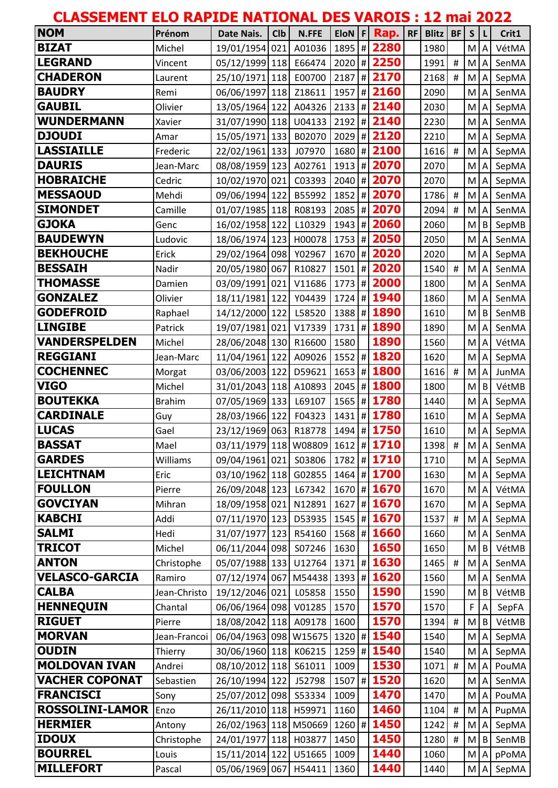| <b>CLASSEMENT ELO RAPIDE NATIONAL DES VAROIS : 12 mai 2022</b> |               |                                   |                  |        |            |               |    |       |                |                                                                                                            |                         |              |
|----------------------------------------------------------------|---------------|-----------------------------------|------------------|--------|------------|---------------|----|-------|----------------|------------------------------------------------------------------------------------------------------------|-------------------------|--------------|
| <b>NOM</b>                                                     | Prénom        | Date Nais.                        | C <sub>1</sub> b | N.FFE  | $EION$ $F$ | Rap.          | RF | Blitz | <b>BF</b>      | $\mathsf{S}$                                                                                               |                         | Crit1        |
| <b>BIZAT</b>                                                   | Michel        | 19/01/1954 021 A01036             |                  |        |            | 1895 # 2280   |    | 1980  |                | M                                                                                                          | $\overline{A}$          | VétMA        |
| <b>LEGRAND</b>                                                 | Vincent       | 05/12/1999 118 E66474             |                  |        |            | 2020 # 2250   |    | 1991  | $\#$           | M                                                                                                          | $\overline{A}$          | SenMA        |
| <b>CHADERON</b>                                                | Laurent       | 25/10/1971 118                    |                  | E00700 |            | 2187 # 2170   |    | 2168  | $\#$           | M                                                                                                          | $\overline{A}$          | SepMA        |
| <b>BAUDRY</b>                                                  | Remi          | 06/06/1997 118                    |                  | Z18611 | $1957$ #   | 2160          |    | 2090  |                | M                                                                                                          | $\overline{A}$          | SenMA        |
| <b>GAUBIL</b>                                                  | Olivier       | 13/05/1964 122                    |                  | A04326 | $2133$ #   | 2140          |    | 2030  |                | M                                                                                                          | $\overline{A}$          | SepMA        |
| <b>WUNDERMANN</b>                                              | Xavier        | 31/07/1990 118 U04133             |                  |        |            | 2192 # 2140   |    | 2230  |                | M                                                                                                          | $\overline{A}$          | SenMA        |
| <b>DJOUDI</b>                                                  | Amar          | 15/05/1971 133                    |                  | B02070 |            | 2029 # 2120   |    | 2210  |                | M                                                                                                          | $\overline{A}$          | SepMA        |
| <b>LASSIAILLE</b>                                              | Frederic      | 22/02/1961 133                    |                  | J07970 | $1680$ #   | 2100          |    | 1616  | $\#$           | M                                                                                                          | $\overline{A}$          | SepMA        |
| <b>DAURIS</b>                                                  | Jean-Marc     | 08/08/1959 123 A02761             |                  |        |            | 1913 # 2070   |    | 2070  |                | $\mathsf{M}% _{T}=\mathsf{M}_{T}\!\left( a,b\right) ,\ \mathsf{M}_{T}=\mathsf{M}_{T}\!\left( a,b\right) ,$ | $\overline{A}$          | SepMA        |
| <b>HOBRAICHE</b>                                               | Cedric        | 10/02/1970 021                    |                  | C03393 |            | 2040 # 2070   |    | 2070  |                | M                                                                                                          | $\overline{A}$          | SepMA        |
| <b>MESSAOUD</b>                                                | Mehdi         | 09/06/1994 122                    |                  | B55992 | $1852$ #   | 2070          |    | 1786  | $\#$           | M                                                                                                          | $\overline{\mathsf{A}}$ | SenMA        |
| <b>SIMONDET</b>                                                | Camille       | 01/07/1985 118 R08193             |                  |        |            | 2085 # 2070   |    | 2094  | $\#$           | $\mathsf{M}% _{T}=\mathsf{M}_{T}\!\left( a,b\right) ,\ \mathsf{M}_{T}=\mathsf{M}_{T}\!\left( a,b\right) ,$ | $\overline{A}$          | SenMA        |
| <b>GJOKA</b>                                                   | Genc          | 16/02/1958 122                    |                  | L10329 |            | 1943 # 2060   |    | 2060  |                | M                                                                                                          | B                       | SepMB        |
| <b>BAUDEWYN</b>                                                | Ludovic       | 18/06/1974 123 H00078             |                  |        |            | 1753 # 2050   |    | 2050  |                | M                                                                                                          | $\overline{A}$          | SenMA        |
| <b>BEKHOUCHE</b>                                               | Erick         | 29/02/1964 098 Y02967             |                  |        | $1670$ #   | 2020          |    | 2020  |                | M                                                                                                          | $\overline{A}$          | SepMA        |
| <b>BESSAIH</b>                                                 | Nadir         | 20/05/1980 067                    |                  | R10827 |            | 1501 # 2020   |    | 1540  | $\#$           | M                                                                                                          | $\overline{A}$          | SenMA        |
| <b>THOMASSE</b>                                                | Damien        | 03/09/1991 021                    |                  | V11686 | $1773$ #   | 2000          |    | 1800  |                | M                                                                                                          | $\overline{\mathsf{A}}$ | SenMA        |
| <b>GONZALEZ</b>                                                | Olivier       | 18/11/1981 122                    |                  | Y04439 | $1724$ #   | 1940          |    | 1860  |                | M                                                                                                          | A                       | SenMA        |
| <b>GODEFROID</b>                                               | Raphael       | 14/12/2000 122                    |                  | L58520 |            | 1388 # 1890   |    | 1610  |                | M                                                                                                          | $\overline{B}$          | SenMB        |
| <b>LINGIBE</b>                                                 | Patrick       | 19/07/1981 021                    |                  | V17339 |            | 1731 # 1890   |    | 1890  |                | M                                                                                                          | $\overline{A}$          | SenMA        |
| <b>VANDERSPELDEN</b>                                           | Michel        | 28/06/2048 130                    |                  | R16600 | 1580       | 1890          |    | 1560  |                | M                                                                                                          | $\overline{A}$          | VétMA        |
| <b>REGGIANI</b>                                                | Jean-Marc     | 11/04/1961 122                    |                  | A09026 |            | 1552 # 1820   |    | 1620  |                | M                                                                                                          | $\overline{A}$          | SepMA        |
| <b>COCHENNEC</b>                                               | Morgat        | 03/06/2003 122                    |                  | D59621 |            | 1653 # 1800   |    | 1616  | $\pmb{\sharp}$ | M                                                                                                          | $\overline{A}$          | <b>JunMA</b> |
| <b>VIGO</b>                                                    | Michel        | 31/01/2043 118                    |                  | A10893 |            | 2045   # 1800 |    | 1800  |                | M                                                                                                          | B                       | VétMB        |
| <b>BOUTEKKA</b>                                                | <b>Brahim</b> | 07/05/1969 133                    |                  | L69107 | $1565$ #   | 1780          |    | 1440  |                | M                                                                                                          | $\overline{A}$          | SepMA        |
| <b>CARDINALE</b>                                               | Guy           | 28/03/1966 122 F04323             |                  |        |            | 1431 # 1780   |    | 1610  |                | M                                                                                                          |                         | A SepMA      |
| <b>LUCAS</b>                                                   | Gael          | 23/12/1969 063 R18778 1494 # 1750 |                  |        |            |               |    | 1610  |                |                                                                                                            |                         | M A SepMA    |
| <b>BASSAT</b>                                                  | Mael          | 03/11/1979 118 W08809             |                  |        |            | 1612 # 1710   |    | 1398  | $\#$           | ${\sf M}$                                                                                                  | $\overline{A}$          | SenMA        |
| <b>GARDES</b>                                                  | Williams      | 09/04/1961 021                    |                  | S03806 |            | 1782 # 1710   |    | 1710  |                | M                                                                                                          | $\overline{A}$          | SepMA        |
| <b>LEICHTNAM</b>                                               | Eric          | 03/10/1962 118 G02855             |                  |        |            | 1464 # 1700   |    | 1630  |                | M                                                                                                          | $\overline{A}$          | SepMA        |
| <b>FOULLON</b>                                                 | Pierre        | 26/09/2048 123                    |                  | L67342 |            | 1670 # 1670   |    | 1670  |                | M                                                                                                          | $\overline{A}$          | VétMA        |
| <b>GOVCIYAN</b>                                                | Mihran        | 18/09/1958 021                    |                  | N12891 |            | 1627   # 1670 |    | 1670  |                | M                                                                                                          | $\overline{A}$          | SepMA        |
| <b>KABCHI</b>                                                  | Addi          | 07/11/1970 123                    |                  | D53935 |            | 1545 # 1670   |    | 1537  | $\#$           | ${\sf M}$                                                                                                  | $\overline{A}$          | SepMA        |
| <b>SALMI</b>                                                   | Hedi          | 31/07/1977 123                    |                  | R54160 |            | 1568 # 1660   |    | 1660  |                | M                                                                                                          | A                       | SenMA        |
| <b>TRICOT</b>                                                  | Michel        | 06/11/2044 098 S07246             |                  |        | 1630       | 1650          |    | 1650  |                | M                                                                                                          | $\overline{B}$          | VétMB        |
| <b>ANTON</b>                                                   | Christophe    | 05/07/1988 133 U12764             |                  |        |            | 1371 # 1630   |    | 1465  | $\#$           | M                                                                                                          | $\overline{A}$          | SenMA        |
| <b>VELASCO-GARCIA</b>                                          | Ramiro        | 07/12/1974 067                    |                  | M54438 |            | 1393 # 1620   |    | 1560  |                | M                                                                                                          | A                       | SenMA        |
| <b>CALBA</b>                                                   | Jean-Christo  | 19/12/2046 021                    |                  | L05858 | 1550       | 1590          |    | 1590  |                | M                                                                                                          | $\sf B$                 | VétMB        |
| <b>HENNEQUIN</b>                                               | Chantal       | 06/06/1964 098                    |                  | V01285 | 1570       | 1570          |    | 1570  |                | F                                                                                                          | $\Lambda$               | SepFA        |
| <b>RIGUET</b>                                                  | Pierre        | 18/08/2042 118 A09178             |                  |        | 1600       | 1570          |    | 1394  | #              | M                                                                                                          | $\overline{B}$          | VétMB        |
| <b>MORVAN</b>                                                  | Jean-Francoi  | 06/04/1963 098 W15675             |                  |        |            | 1320 # 1540   |    | 1540  |                | M                                                                                                          | $\overline{A}$          | SepMA        |
| <b>OUDIN</b>                                                   | Thierry       | 30/06/1960 118                    |                  | K06215 | $1259$ #   | 1540          |    | 1540  |                | M                                                                                                          | $\overline{A}$          | SepMA        |
| <b>MOLDOVAN IVAN</b>                                           | Andrei        | 08/10/2012 118 S61011             |                  |        | 1009       | 1530          |    | 1071  | $\#$           | M                                                                                                          | $\overline{A}$          | PouMA        |
| <b>VACHER COPONAT</b>                                          | Sebastien     | 26/10/1994 122                    |                  | J52798 |            | 1507 # 1520   |    | 1620  |                | M                                                                                                          | $\overline{A}$          | SenMA        |
| <b>FRANCISCI</b>                                               | Sony          | 25/07/2012 098                    |                  | S53334 | 1009       | 1470          |    | 1470  |                | M                                                                                                          | $\overline{\mathsf{A}}$ | PouMA        |
| <b>ROSSOLINI-LAMOR</b>                                         | Enzo          | 26/11/2010 118 H59971             |                  |        | 1160       | 1460          |    | 1104  | $\#$           | M                                                                                                          | $\overline{A}$          | PupMA        |
| <b>HERMIER</b>                                                 | Antony        | 26/02/1963 118 M50669             |                  |        |            | 1260 # 1450   |    | 1242  | #              | M                                                                                                          | A                       | SepMA        |
| <b>IDOUX</b>                                                   | Christophe    | 24/01/1977 118 H03877             |                  |        | 1450       | 1450          |    | 1280  | $\#$           | M                                                                                                          | $\overline{B}$          | SenMB        |
| <b>BOURREL</b>                                                 | Louis         | 15/11/2014 122                    |                  | U51665 | 1009       | 1440          |    | 1060  |                | M                                                                                                          | $\overline{A}$          | pPoMA        |
| <b>MILLEFORT</b>                                               | Pascal        | 05/06/1969 067                    |                  | H54411 | 1360       | 1440          |    | 1440  |                | M                                                                                                          | A                       | SepMA        |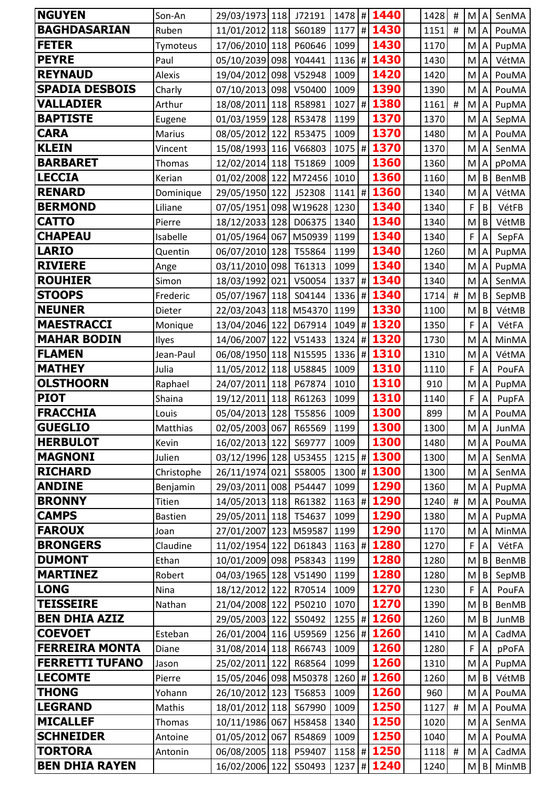| <b>NGUYEN</b>          | Son-An         | 29/03/1973 118                            | J72191 | $1478$ # | 1440          | 1428     | #              | M          | $\boldsymbol{\mathsf{A}}$ | SenMA        |
|------------------------|----------------|-------------------------------------------|--------|----------|---------------|----------|----------------|------------|---------------------------|--------------|
| <b>BAGHDASARIAN</b>    | Ruben          | 11/01/2012 118                            | S60189 |          | 1177 # 1430   | 1151     | #              | M          | $\overline{A}$            | PouMA        |
| <b>FETER</b>           | Tymoteus       | 17/06/2010 118                            | P60646 | 1099     | 1430          | 1170     |                | M          | $\boldsymbol{\mathsf{A}}$ | PupMA        |
| <b>PEYRE</b>           | Paul           | 05/10/2039 098                            | Y04441 | $1136$ # | 1430          | 1430     |                | M          | A                         | VétMA        |
| <b>REYNAUD</b>         | <b>Alexis</b>  | 19/04/2012 098                            | V52948 | 1009     | 1420          | 1420     |                | M          | $\overline{A}$            | PouMA        |
| <b>SPADIA DESBOIS</b>  | Charly         | 07/10/2013 098                            | V50400 | 1009     | 1390          | 1390     |                | M          | A                         | PouMA        |
| <b>VALLADIER</b>       | Arthur         | 18/08/2011 118 R58981                     |        | $1027$ # | 1380          | 1161     | $\#$           | M          | $\mathsf{A}$              | PupMA        |
| <b>BAPTISTE</b>        | Eugene         | 01/03/1959 128 R53478                     |        | 1199     | 1370          | 1370     |                | M          | $\boldsymbol{\mathsf{A}}$ | SepMA        |
| <b>CARA</b>            | <b>Marius</b>  | 08/05/2012 122                            | R53475 | 1009     | 1370          | 1480     |                | M          | $\mathsf{A}$              | PouMA        |
| <b>KLEIN</b>           | Vincent        | 15/08/1993 116 V66803                     |        |          | 1075 # 1370   | 1370     |                | M          | $\boldsymbol{\mathsf{A}}$ | SenMA        |
| <b>BARBARET</b>        | Thomas         | 12/02/2014 118 T51869                     |        | 1009     | 1360          | 1360     |                | M          | $\mathsf{A}$              | pPoMA        |
| <b>LECCIA</b>          | Kerian         | 01/02/2008 122 M72456 1010                |        |          | 1360          | 1160     |                | M          | B                         | <b>BenMB</b> |
| <b>RENARD</b>          | Dominique      | 29/05/1950 122                            | J52308 |          | 1141   # 1360 | 1340     |                | M          | $\boldsymbol{\mathsf{A}}$ | VétMA        |
| <b>BERMOND</b>         | Liliane        | 07/05/1951 098 W19628 1230                |        |          | 1340          | 1340     |                | F          | B                         | VétFB        |
| <b>CATTO</b>           | Pierre         | 18/12/2033 128 D06375                     |        | 1340     | 1340          | 1340     |                | M          | $\sf B$                   | VétMB        |
| <b>CHAPEAU</b>         | Isabelle       | 01/05/1964 067 M50939 1199                |        |          | 1340          | 1340     |                | F          | A                         | SepFA        |
| <b>LARIO</b>           | Quentin        | 06/07/2010 128                            | T55864 | 1199     | 1340          | 1260     |                | M          | A                         | PupMA        |
| <b>RIVIERE</b>         | Ange           | 03/11/2010 098                            | T61313 | 1099     | 1340          | 1340     |                | M          | $\mathsf A$               | PupMA        |
| <b>ROUHIER</b>         | Simon          | 18/03/1992 021                            | V50054 | 1337     | # 1340        | 1340     |                | M          | A                         | SenMA        |
| <b>STOOPS</b>          | Frederic       | 05/07/1967 118 504144                     |        | $1336$ # | 1340          | 1714     | $\pmb{\sharp}$ | M          | B                         | SepMB        |
| <b>NEUNER</b>          | Dieter         | 22/03/2043 118 M54370 1199                |        |          | 1330          | 1100     |                | M          | $\, {\bf B}$              | VétMB        |
| <b>MAESTRACCI</b>      | Monique        | 13/04/2046 122                            | D67914 |          | 1049 # 1320   | 1350     |                | F          | A                         | VétFA        |
| <b>MAHAR BODIN</b>     | Ilyes          | 14/06/2007 122                            | V51433 | $1324$ # | 1320          | 1730     |                | M          | $\boldsymbol{\mathsf{A}}$ | MinMA        |
| <b>FLAMEN</b>          | Jean-Paul      | 06/08/1950 118 N15595                     |        | $1336$ # | 1310          | 1310     |                | M          | A                         | VétMA        |
| <b>MATHEY</b>          | Julia          | 11/05/2012 118                            | U58845 | 1009     | 1310          | 1110     |                | F          | A                         | PouFA        |
| <b>OLSTHOORN</b>       | Raphael        | 24/07/2011 118                            | P67874 | 1010     | 1310          | 910      |                | M          | A                         | PupMA        |
| <b>PIOT</b>            | Shaina         | 19/12/2011 118 R61263                     |        | 1099     | 1310          | 1140     |                | F          | $\mathsf A$               | PupFA        |
| <b>FRACCHIA</b>        | Louis          | 05/04/2013 128                            | T55856 | 1009     | 1300          | 899      |                | M          | $\boldsymbol{\mathsf{A}}$ | PouMA        |
| <b>GUEGLIO</b>         | Matthias       | 02/05/2003 067 R65569 1199                |        |          | 1300          | 1300     |                |            |                           | M A JunMA    |
| <b>HERBULOT</b>        | Kevin          | 16/02/2013 122 569777                     |        | 1009     | 1300          | 1480     |                | M          | $\mathsf{A}$              | PouMA        |
| <b>MAGNONI</b>         | Julien         | 03/12/1996 128 U53455   1215   # 1300     |        |          |               | 1300     |                | M A        |                           | SenMA        |
| <b>RICHARD</b>         | Christophe     | 26/11/1974 021 S58005                     |        |          | 1300 # 1300   | 1300     |                | M          | $\overline{A}$            | SenMA        |
| <b>ANDINE</b>          | Benjamin       | 29/03/2011 008 P54447                     |        | 1099     | 1290          | 1360     |                | M          | $\overline{A}$            | PupMA        |
| <b>BRONNY</b>          | Titien         | 14/05/2013 118 R61382                     |        |          | 1163 # 1290   | $1240$ # |                | M          | $\overline{A}$            | PouMA        |
| <b>CAMPS</b>           | <b>Bastien</b> | 29/05/2011 118 T54637                     |        | 1099     | 1290          | 1380     |                | M          | $\boldsymbol{\mathsf{A}}$ | PupMA        |
| <b>FAROUX</b>          | Joan           | 27/01/2007 123 M59587                     |        | 1199     | 1290          | 1170     |                | M          | $\overline{A}$            | MinMA        |
| <b>BRONGERS</b>        | Claudine       | 11/02/1954 122 D61843                     |        | $1163$ # | 1280          | 1270     |                | F          | A                         | VétFA        |
| <b>DUMONT</b>          | Ethan          | 10/01/2009 098 P58343                     |        | 1199     | 1280          | 1280     |                | M          | B                         | BenMB        |
| <b>MARTINEZ</b>        | Robert         | 04/03/1965 128 V51490                     |        | 1199     | 1280          | 1280     |                | M          | B                         | SepMB        |
| <b>LONG</b>            | Nina           | 18/12/2012 122 R70514                     |        | 1009     | 1270          | 1230     |                | F          | $\overline{A}$            | PouFA        |
| <b>TEISSEIRE</b>       | Nathan         | 21/04/2008 122 P50210                     |        | 1070     | 1270          | 1390     |                | M          | B                         | BenMB        |
| <b>BEN DHIA AZIZ</b>   |                | 29/05/2003 122 550492                     |        |          | 1255 # 1260   | 1260     |                | M          | $\mathsf B$               | <b>JunMB</b> |
| <b>COEVOET</b>         | Esteban        | 26/01/2004 116 U59569                     |        |          | 1256 # 1260   | 1410     |                | M          | $\boldsymbol{\mathsf{A}}$ | CadMA        |
| <b>FERREIRA MONTA</b>  | Diane          | 31/08/2014 118 R66743                     |        | 1009     | 1260          | 1280     |                | F          | $\overline{A}$            | pPoFA        |
| <b>FERRETTI TUFANO</b> | Jason          | 25/02/2011 122 R68564                     |        | 1099     | 1260          | 1310     |                | M          | $\mathsf{A}$              | PupMA        |
| <b>LECOMTE</b>         | Pierre         | 15/05/2046 098   M50378   1260   #   1260 |        |          |               | 1260     |                |            | $M \mid B$                | VétMB        |
| <b>THONG</b>           | Yohann         | 26/10/2012 123 T56853                     |        | 1009     | 1260          | 960      |                | M          | $\overline{A}$            | PouMA        |
| <b>LEGRAND</b>         | Mathis         | 18/01/2012 118 567990                     |        | 1009     | 1250          | 1127     | $\#$           | M A        |                           | PouMA        |
| <b>MICALLEF</b>        | Thomas         | 10/11/1986 067                            | H58458 | 1340     | 1250          | 1020     |                | M          | $\overline{A}$            | SenMA        |
| <b>SCHNEIDER</b>       | Antoine        | 01/05/2012 067                            | R54869 | 1009     | 1250          | 1040     |                | M          | $\overline{A}$            | PouMA        |
| TORTORA                | Antonin        | 06/08/2005 118 P59407                     |        |          | 1158 # 1250   | $1118$ # |                | M          | $\mathsf{A}$              | CadMA        |
| <b>BEN DHIA RAYEN</b>  |                | 16/02/2006 122                            | S50493 |          | 1237   # 1240 | 1240     |                | $M \mid B$ |                           | MinMB        |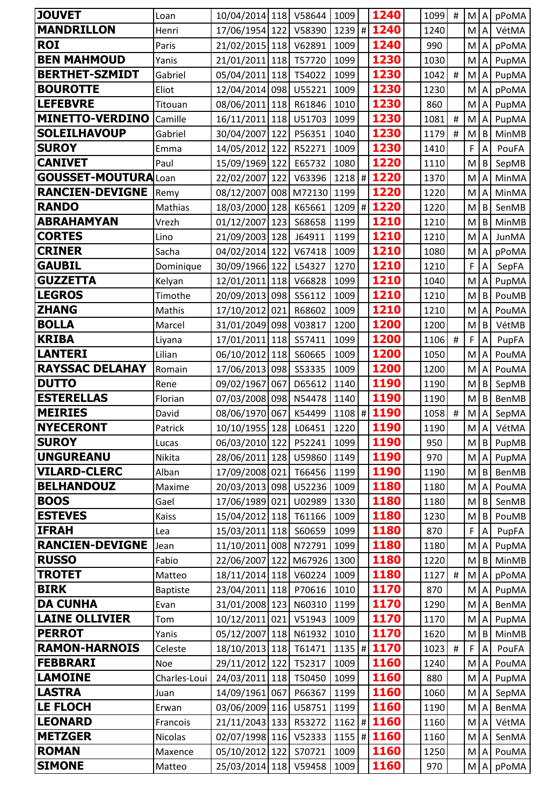| <b>JOUVET</b>              | Loan            | 10/04/2014 118             |     | V58644 | 1009     | 1240        | 1099 | #              | M.         | $\boldsymbol{\mathsf{A}}$ | pPoMA        |
|----------------------------|-----------------|----------------------------|-----|--------|----------|-------------|------|----------------|------------|---------------------------|--------------|
| <b>MANDRILLON</b>          | Henri           | 17/06/1954 122             |     | V58390 | $1239$ # | 1240        | 1240 |                | M          | $\overline{A}$            | VétMA        |
| <b>ROI</b>                 | Paris           | 21/02/2015 118 V62891      |     |        | 1009     | 1240        | 990  |                | M          | $\mathsf A$               | pPoMA        |
| <b>BEN MAHMOUD</b>         | Yanis           | 21/01/2011 118 T57720      |     |        | 1099     | 1230        | 1030 |                | M          | A                         | PupMA        |
| <b>BERTHET-SZMIDT</b>      | Gabriel         | 05/04/2011 118             |     | T54022 | 1099     | 1230        | 1042 | $\#$           | M          | $\boldsymbol{\mathsf{A}}$ | PupMA        |
| <b>BOUROTTE</b>            | Eliot           | 12/04/2014 098             |     | U55221 | 1009     | 1230        | 1230 |                | M          | $\mathsf{A}$              | pPoMA        |
| <b>LEFEBVRE</b>            | Titouan         | 08/06/2011 118             |     | R61846 | 1010     | 1230        | 860  |                | M          | A                         | PupMA        |
| <b>MINETTO-VERDINO</b>     | Camille         | 16/11/2011 118 U51703      |     |        | 1099     | 1230        | 1081 | #              | M          | $\overline{A}$            | PupMA        |
| <b>SOLEILHAVOUP</b>        | Gabriel         | 30/04/2007 122             |     | P56351 | 1040     | 1230        | 1179 | #              | M          | $\vert$ B                 | MinMB        |
| <b>SUROY</b>               | Emma            | 14/05/2012 122             |     | R52271 | 1009     | 1230        | 1410 |                | F          | $\overline{A}$            | PouFA        |
| <b>CANIVET</b>             | Paul            | 15/09/1969 122             |     | E65732 | 1080     | 1220        | 1110 |                | M          | $\, {\bf B}$              | SepMB        |
| <b>GOUSSET-MOUTURALoan</b> |                 | 22/02/2007 122             |     | V63396 | $1218$ # | 1220        | 1370 |                | M          | A                         | MinMA        |
| <b>RANCIEN-DEVIGNE</b>     | Remy            | 08/12/2007 008 M72130 1199 |     |        |          | 1220        | 1220 |                | M          | A                         | MinMA        |
| <b>RANDO</b>               | Mathias         | 18/03/2000 128             |     | K65661 |          | 1209 # 1220 | 1220 |                | M          | B                         | SenMB        |
| <b>ABRAHAMYAN</b>          | Vrezh           | 01/12/2007                 | 123 | S68658 | 1199     | 1210        | 1210 |                | M          | B                         | MinMB        |
| <b>CORTES</b>              | Lino            | 21/09/2003 128             |     | J64911 | 1199     | 1210        | 1210 |                | M          | $\boldsymbol{\mathsf{A}}$ | JunMA        |
| <b>CRINER</b>              | Sacha           | 04/02/2014 122             |     | V67418 | 1009     | 1210        | 1080 |                | M          | A                         | pPoMA        |
| <b>GAUBIL</b>              | Dominique       | 30/09/1966 122             |     | L54327 | 1270     | 1210        | 1210 |                | F          | A                         | SepFA        |
| <b>GUZZETTA</b>            | Kelyan          | 12/01/2011 118             |     | V66828 | 1099     | 1210        | 1040 |                | M          | $\mathsf A$               | PupMA        |
| <b>LEGROS</b>              | Timothe         | 20/09/2013                 | 098 | S56112 | 1009     | 1210        | 1210 |                | M          | B                         | PouMB        |
| <b>ZHANG</b>               | Mathis          | 17/10/2012 021             |     | R68602 | 1009     | 1210        | 1210 |                | M          | A                         | PouMA        |
| <b>BOLLA</b>               | Marcel          | 31/01/2049 098             |     | V03817 | 1200     | 1200        | 1200 |                | M          | B                         | VétMB        |
| <b>KRIBA</b>               | Liyana          | 17/01/2011 118             |     | S57411 | 1099     | 1200        | 1106 | $\#$           | F          | A                         | PupFA        |
| <b>LANTERI</b>             | Lilian          | 06/10/2012 118             |     | S60665 | 1009     | 1200        | 1050 |                | M          | A                         | PouMA        |
| <b>RAYSSAC DELAHAY</b>     | Romain          | 17/06/2013                 | 098 | S53335 | 1009     | 1200        | 1200 |                | M          | A                         | PouMA        |
| <b>DUTTO</b>               | Rene            | 09/02/1967                 | 067 | D65612 | 1140     | 1190        | 1190 |                | M          | $\sf B$                   | SepMB        |
| <b>ESTERELLAS</b>          | Florian         | 07/03/2008                 | 098 | N54478 | 1140     | 1190        | 1190 |                | M          | $\sf B$                   | BenMB        |
| <b>MEIRIES</b>             | David           | 08/06/1970                 | 067 | K54499 | $1108$ # | 1190        | 1058 | $\pmb{\sharp}$ | M          | $\boldsymbol{\mathsf{A}}$ | SepMA        |
| <b>NYECERONT</b>           | Patrick         | 10/10/1955 128 L06451 1220 |     |        |          | 1190        | 1190 |                |            |                           | M A VétMA    |
| <b>SUROY</b>               | Lucas           | 06/03/2010 122             |     | P52241 | 1099     | 1190        | 950  |                | M          |                           | B PupMB      |
| <b>UNGUREANU</b>           | Nikita          | 28/06/2011 128 U59860      |     |        | 1149     | 1190        | 970  |                |            | M A                       | PupMA        |
| <b>VILARD-CLERC</b>        | Alban           | 17/09/2008 021             |     | T66456 | 1199     | 1190        | 1190 |                | $M \mid B$ |                           | BenMB        |
| <b>BELHANDOUZ</b>          | Maxime          | 20/03/2013 098 U52236      |     |        | 1009     | 1180        | 1180 |                | M          | $\overline{A}$            | PouMA        |
| <b>BOOS</b>                | Gael            | 17/06/1989 021             |     | U02989 | 1330     | 1180        | 1180 |                | M          | $\sf B$                   | SenMB        |
| <b>ESTEVES</b>             | Kaiss           | 15/04/2012 118 T61166      |     |        | 1009     | 1180        | 1230 |                | M          | B                         | PouMB        |
| <b>IFRAH</b>               | Lea             | 15/03/2011 118 560659      |     |        | 1099     | 1180        | 870  |                | F          | $\overline{A}$            | PupFA        |
| <b>RANCIEN-DEVIGNE</b>     | Jean            | 11/10/2011 008 N72791      |     |        | 1099     | 1180        | 1180 |                | M          | A                         | PupMA        |
| <b>RUSSO</b>               | Fabio           | 22/06/2007 122 M67926 1300 |     |        |          | 1180        | 1220 |                | M          | $\vert$ B                 | MinMB        |
| <b>TROTET</b>              | Matteo          | 18/11/2014 118 V60224      |     |        | 1009     | 1180        | 1127 | $\#$           | M          | $\overline{A}$            | pPoMA        |
| <b>BIRK</b>                | <b>Baptiste</b> | 23/04/2011 118 P70616      |     |        | 1010     | 1170        | 870  |                | M          | $\boldsymbol{\mathsf{A}}$ | PupMA        |
| <b>DA CUNHA</b>            | Evan            | 31/01/2008 123             |     | N60310 | 1199     | 1170        | 1290 |                | M          | $\overline{A}$            | BenMA        |
| <b>LAINE OLLIVIER</b>      | Tom             | 10/12/2011 021             |     | V51943 | 1009     | 1170        | 1170 |                | M          | $\mathsf{A}$              | PupMA        |
| <b>PERROT</b>              | Yanis           | 05/12/2007 118 N61932      |     |        | 1010     | 1170        | 1620 |                | M          | B                         | MinMB        |
| <b>RAMON-HARNOIS</b>       | Celeste         | 18/10/2013 118 T61471      |     |        | $1135$ # | 1170        | 1023 | $\#$           | F          | $\overline{A}$            | PouFA        |
| <b>FEBBRARI</b>            | Noe             | 29/11/2012 122 T52317      |     |        | 1009     | 1160        | 1240 |                | M          | $\overline{A}$            | PouMA        |
| LAMOINE                    | Charles-Loui    | 24/03/2011 118 T50450      |     |        | 1099     | 1160        | 880  |                | M          | $\mathsf{A}$              | PupMA        |
| <b>LASTRA</b>              | Juan            | 14/09/1961 067             |     | P66367 | 1199     | 1160        | 1060 |                | M          | $\overline{A}$            | SepMA        |
| <b>LE FLOCH</b>            | Erwan           | 03/06/2009 116 U58751      |     |        | 1199     | 1160        | 1190 |                | M A        |                           | <b>BenMA</b> |
| <b>LEONARD</b>             | Francois        | 21/11/2043 133             |     | R53272 | $1162$ # | 1160        | 1160 |                | M          | $\overline{A}$            | VétMA        |
| <b>METZGER</b>             | <b>Nicolas</b>  | 02/07/1998 116 V52333      |     |        |          | 1155 # 1160 | 1160 |                | M          | $\overline{A}$            | SenMA        |
| <b>ROMAN</b>               | Maxence         | 05/10/2012 122             |     | S70721 | 1009     | 1160        | 1250 |                | M          | $\mathsf{A}$              | PouMA        |
| <b>SIMONE</b>              | Matteo          | 25/03/2014 118 V59458      |     |        | 1009     | 1160        | 970  |                | M A        |                           | pPoMA        |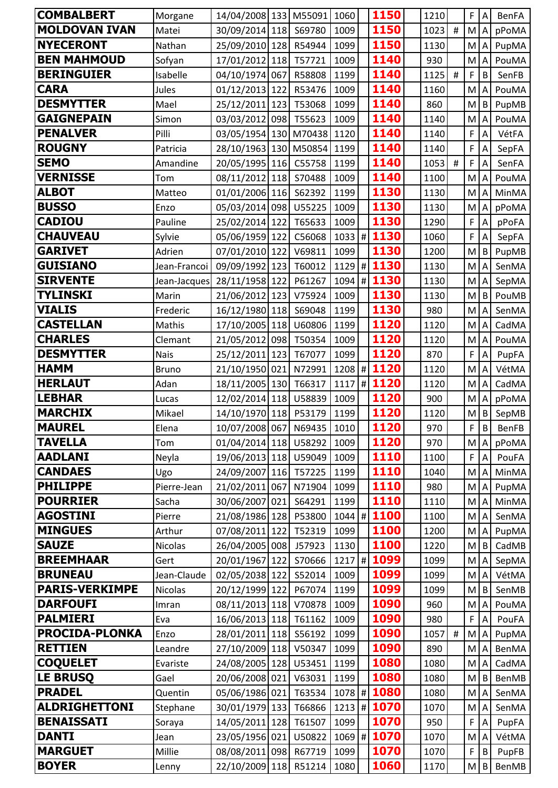| <b>COMBALBERT</b>     | Morgane      | 14/04/2008 133 M55091      |        | 1060     |   | 1150          | 1210 |      | F              | Α              | <b>BenFA</b> |
|-----------------------|--------------|----------------------------|--------|----------|---|---------------|------|------|----------------|----------------|--------------|
| <b>MOLDOVAN IVAN</b>  | Matei        | 30/09/2014 118             | S69780 | 1009     |   | 1150          | 1023 | $\#$ | M              | $\overline{A}$ | pPoMA        |
| <b>NYECERONT</b>      | Nathan       | 25/09/2010 128             | R54944 | 1099     |   | 1150          | 1130 |      | M              | Α              | PupMA        |
| <b>BEN MAHMOUD</b>    | Sofyan       | 17/01/2012 118             | T57721 | 1009     |   | 1140          | 930  |      | M              | A              | PouMA        |
| <b>BERINGUIER</b>     | Isabelle     | 04/10/1974 067             | R58808 | 1199     |   | 1140          | 1125 | $\#$ | F              | B              | SenFB        |
| <b>CARA</b>           | Jules        | 01/12/2013 122             | R53476 | 1009     |   | 1140          | 1160 |      | M              | A              | PouMA        |
| <b>DESMYTTER</b>      | Mael         | 25/12/2011 123             | T53068 | 1099     |   | 1140          | 860  |      | M              | B              | PupMB        |
| <b>GAIGNEPAIN</b>     | Simon        | 03/03/2012 098 T55623      |        | 1009     |   | 1140          | 1140 |      | M              | Α              | PouMA        |
| <b>PENALVER</b>       | Pilli        | 03/05/1954 130 M70438      |        | 1120     |   | 1140          | 1140 |      | F              | A              | VétFA        |
| <b>ROUGNY</b>         | Patricia     | 28/10/1963 130 M50854      |        | 1199     |   | 1140          | 1140 |      | F              | Α              | SepFA        |
| <b>SEMO</b>           | Amandine     | 20/05/1995 116 C55758      |        | 1199     |   | 1140          | 1053 | #    | F              | A              | SenFA        |
| <b>VERNISSE</b>       | Tom          | 08/11/2012 118             | S70488 | 1009     |   | 1140          | 1100 |      | M              | A              | PouMA        |
| <b>ALBOT</b>          | Matteo       | 01/01/2006 116             | S62392 | 1199     |   | 1130          | 1130 |      | M              | A              | MinMA        |
| <b>BUSSO</b>          | Enzo         | 05/03/2014 098 U55225      |        | 1009     |   | 1130          | 1130 |      | M              | A              | pPoMA        |
| <b>CADIOU</b>         | Pauline      | 25/02/2014 122             | T65633 | 1009     |   | 1130          | 1290 |      | F              | A              | pPoFA        |
| <b>CHAUVEAU</b>       | Sylvie       | 05/06/1959 122             | C56068 |          |   | 1033 # 1130   | 1060 |      | $\overline{F}$ | A              | SepFA        |
| <b>GARIVET</b>        | Adrien       | 07/01/2010 122             | V69811 | 1099     |   | 1130          | 1200 |      | M              | B              | PupMB        |
| <b>GUISIANO</b>       | Jean-Francoi | 09/09/1992 123             | T60012 |          |   | 1129 # 1130   | 1130 |      | M              | A              | SenMA        |
| <b>SIRVENTE</b>       | Jean-Jacques | 28/11/1958 122             | P61267 |          |   | 1094 # 1130   | 1130 |      | M              | A              | SepMA        |
| TYLINSKI              | Marin        | 21/06/2012 123             | V75924 | 1009     |   | 1130          | 1130 |      | M              | B              | PouMB        |
| <b>VIALIS</b>         | Frederic     | 16/12/1980 118             | S69048 | 1199     |   | 1130          | 980  |      | M              | Α              | SenMA        |
| <b>CASTELLAN</b>      | Mathis       | 17/10/2005 118             | U60806 | 1199     |   | 1120          | 1120 |      | M              | A              | CadMA        |
| <b>CHARLES</b>        | Clemant      | 21/05/2012 098 T50354      |        | 1009     |   | 1120          | 1120 |      | M              | A              | PouMA        |
| <b>DESMYTTER</b>      | <b>Nais</b>  | 25/12/2011 123             | T67077 | 1099     |   | 1120          | 870  |      | $\mathsf{F}$   | Α              | PupFA        |
| <b>HAMM</b>           | <b>Bruno</b> | 21/10/1950 021             | N72991 | 1208     | # | 1120          | 1120 |      | M              | Α              | VétMA        |
| <b>HERLAUT</b>        | Adan         | 18/11/2005 130             | T66317 | 1117     |   | #1120         | 1120 |      | M              | A              | CadMA        |
| <b>LEBHAR</b>         | Lucas        | 12/02/2014 118 U58839      |        | 1009     |   | 1120          | 900  |      | M              | Α              | pPoMA        |
| <b>MARCHIX</b>        | Mikael       | 14/10/1970 118             | P53179 | 1199     |   | 1120          | 1120 |      | M              | B              | SepMB        |
| <b>MAUREL</b>         | Elena        | 10/07/2008 067 N69435 1010 |        |          |   | 1120          | 970  |      | F              | $\sf B$        | BenFB        |
| <b>TAVELLA</b>        | Tom          | 01/04/2014 118 U58292      |        | 1009     |   | 1120          | 970  |      | M              | $\overline{A}$ | pPoMA        |
| <b>AADLANI</b>        | Neyla        | 19/06/2013 118 U59049      |        | 1009     |   | 1110          | 1100 |      | F              | A              | PouFA        |
| <b>CANDAES</b>        | Ugo          | 24/09/2007 116 T57225      |        | 1199     |   | 1110          | 1040 |      | M              | A              | MinMA        |
| <b>PHILIPPE</b>       | Pierre-Jean  | 21/02/2011 067             | N71904 | 1099     |   | 1110          | 980  |      | M              | A              | PupMA        |
| <b>POURRIER</b>       | Sacha        | 30/06/2007 021             | S64291 | 1199     |   | 1110          | 1110 |      | M              | $\overline{A}$ | MinMA        |
| <b>AGOSTINI</b>       | Pierre       | 21/08/1986 128 P53800      |        |          |   | $1044$ # 1100 | 1100 |      | M              | Α              | SenMA        |
| <b>MINGUES</b>        | Arthur       | 07/08/2011 122             | T52319 | 1099     |   | 1100          | 1200 |      | M              | $\overline{A}$ | PupMA        |
| <b>SAUZE</b>          | Nicolas      | 26/04/2005 008             | J57923 | 1130     |   | 1100          | 1220 |      | M              | B              | CadMB        |
| <b>BREEMHAAR</b>      | Gert         | 20/01/1967 122             | S70666 | $1217$ # |   | 1099          | 1099 |      | M              | A              | SepMA        |
| <b>BRUNEAU</b>        | Jean-Claude  | 02/05/2038 122             | S52014 | 1009     |   | 1099          | 1099 |      | M              | A              | VétMA        |
| <b>PARIS-VERKIMPE</b> | Nicolas      | 20/12/1999 122             | P67074 | 1199     |   | 1099          | 1099 |      | M              | B              | SenMB        |
| <b>DARFOUFI</b>       | Imran        | 08/11/2013 118 V70878      |        | 1009     |   | 1090          | 960  |      | M              | A              | PouMA        |
| <b>PALMIERI</b>       | Eva          | 16/06/2013 118 T61162      |        | 1009     |   | 1090          | 980  |      | F              | A              | PouFA        |
| <b>PROCIDA-PLONKA</b> | Enzo         | 28/01/2011 118 556192      |        | 1099     |   | 1090          | 1057 | #    | M              | Α              | PupMA        |
| <b>RETTIEN</b>        | Leandre      | 27/10/2009 118 V50347      |        | 1099     |   | 1090          | 890  |      | M              | A              | BenMA        |
| <b>COQUELET</b>       | Evariste     | 24/08/2005 128             | U53451 | 1199     |   | 1080          | 1080 |      | M              | $\overline{A}$ | CadMA        |
| <b>LE BRUSQ</b>       | Gael         | 20/06/2008 021             | V63031 | 1199     |   | 1080          | 1080 |      | M              | B              | BenMB        |
| <b>PRADEL</b>         | Quentin      | 05/06/1986 021 T63534      |        |          |   | 1078 # 1080   | 1080 |      | M              | Α              | SenMA        |
| <b>ALDRIGHETTONI</b>  | Stephane     | 30/01/1979 133 T66866      |        |          |   | 1213 # 1070   | 1070 |      | M              | A              | SenMA        |
| <b>BENAISSATI</b>     | Soraya       | 14/05/2011 128             | T61507 | 1099     |   | 1070          | 950  |      | F              | A              | PupFA        |
| <b>DANTI</b>          | Jean         | 23/05/1956 021             | U50822 |          |   | 1069 # 1070   | 1070 |      | M              | $\overline{A}$ | VétMA        |
| <b>MARGUET</b>        | Millie       | 08/08/2011 098             | R67719 | 1099     |   | 1070          | 1070 |      | F              | B              | PupFB        |
| <b>BOYER</b>          | Lenny        | 22/10/2009 118             | R51214 | 1080     |   | 1060          | 1170 |      | M              | B              | BenMB        |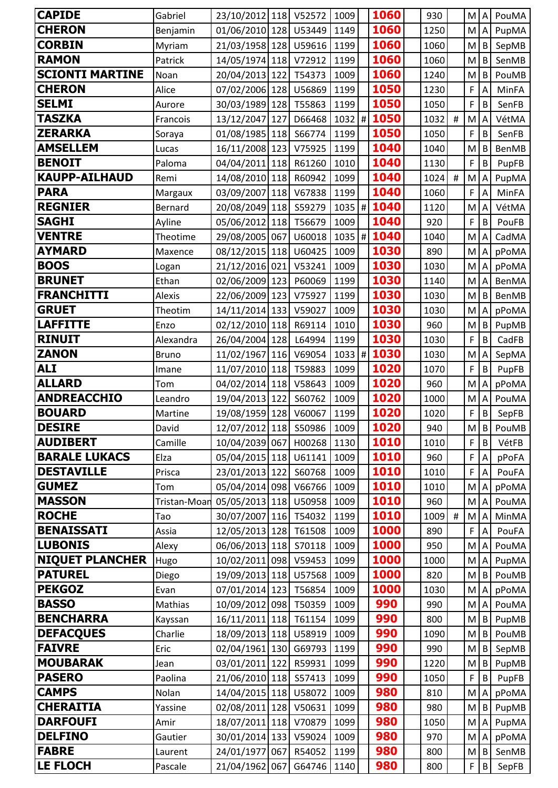| <b>CAPIDE</b>                 | Gabriel      | 23/10/2012 118 V52572                   |        | 1009         | 1060         | 930         |          | M A            |                | PouMA          |
|-------------------------------|--------------|-----------------------------------------|--------|--------------|--------------|-------------|----------|----------------|----------------|----------------|
| <b>CHERON</b>                 | Benjamin     | 01/06/2010 128 U53449                   |        | 1149         | 1060         | 1250        |          | M <sub>I</sub> | A              | PupMA          |
| <b>CORBIN</b>                 | Myriam       | 21/03/1958 128                          | U59616 | 1199         | 1060         | 1060        |          | M              | B              | SepMB          |
| <b>RAMON</b>                  | Patrick      | 14/05/1974 118 V72912                   |        | 1199         | 1060         | 1060        |          | M              | B              | SenMB          |
| <b>SCIONTI MARTINE</b>        | Noan         | 20/04/2013 122 T54373                   |        | 1009         | 1060         | 1240        |          | M              | $\mathsf B$    | PouMB          |
| <b>CHERON</b>                 | Alice        | 07/02/2006 128                          | U56869 | 1199         | 1050         | 1230        |          | F              | A              | MinFA          |
| <b>SELMI</b>                  | Aurore       | 30/03/1989 128                          | T55863 | 1199         | <b>1050</b>  | 1050        |          | F              | B              | SenFB          |
| <b>TASZKA</b>                 | Francois     | 13/12/2047 127                          | D66468 | $1032$ #     | 1050         | 1032        | $\#$     | M              | A              | VétMA          |
| <b>ZERARKA</b>                | Soraya       | 01/08/1985 118                          | S66774 | 1199         | 1050         | 1050        |          | F              | B              | SenFB          |
| <b>AMSELLEM</b>               | Lucas        | 16/11/2008 123                          | V75925 | 1199         | 1040         | 1040        |          | M              | B              | <b>BenMB</b>   |
| <b>BENOIT</b>                 | Paloma       | 04/04/2011 118                          | R61260 | 1010         | 1040         | 1130        |          | F              | $\sf B$        | PupFB          |
| <b>KAUPP-AILHAUD</b>          | Remi         | 14/08/2010 118                          | R60942 | 1099         | 1040         | 1024        | $\#$     | M              | Α              | PupMA          |
| <b>PARA</b>                   | Margaux      | 03/09/2007 118 V67838                   |        | 1199         | 1040         | 1060        |          | F              | A              | MinFA          |
| <b>REGNIER</b>                | Bernard      | 20/08/2049 118                          | S59279 | $1035$ #     | 1040         | 1120        |          | M              | A              | VétMA          |
| <b>SAGHI</b>                  | Ayline       | 05/06/2012 118                          | T56679 | 1009         | 1040         | 920         |          | F              | B              | PouFB          |
| <b>VENTRE</b>                 | Theotime     | 29/08/2005 067                          | U60018 | $1035$ #     | 1040         | 1040        |          | M              |                | CadMA          |
| <b>AYMARD</b>                 | Maxence      | 08/12/2015 118 U60425                   |        | 1009         | 1030         | 890         |          | M              | Α              | pPoMA          |
| <b>BOOS</b>                   | Logan        | 21/12/2016 021                          | V53241 | 1009         | 1030         | 1030        |          | M              |                | pPoMA          |
| <b>BRUNET</b>                 | Ethan        | 02/06/2009 123                          | P60069 | 1199         | 1030         | 1140        |          | M              | A              | <b>BenMA</b>   |
| <b>FRANCHITTI</b>             | Alexis       | 22/06/2009 123                          | V75927 | 1199         | 1030         | 1030        |          | M              | B              | BenMB          |
| <b>GRUET</b>                  | Theotim      | 14/11/2014 133                          | V59027 | 1009         | 1030         | 1030        |          | M              | A              | pPoMA          |
| <b>LAFFITTE</b>               | Enzo         | 02/12/2010 118 R69114                   |        | 1010         | 1030         | 960         |          | M              | B              | PupMB          |
| <b>RINUIT</b>                 | Alexandra    | 26/04/2004 128                          | L64994 | 1199         | 1030         | 1030        |          | F              | $\mathsf B$    | CadFB          |
| <b>ZANON</b>                  | <b>Bruno</b> | 11/02/1967 116 V69054                   |        | $1033$ #     | 1030         | 1030        |          | M              | A              | SepMA          |
| <b>ALI</b>                    | Imane        | 11/07/2010 118 T59883                   |        | 1099         | 1020         | 1070        |          | F              | B              | PupFB          |
| <b>ALLARD</b>                 | Tom          | 04/02/2014 118                          | V58643 | 1009         | 1020         | 960         |          | M              | A              | pPoMA          |
| <b>ANDREACCHIO</b>            | Leandro      | 19/04/2013 122                          | S60762 | 1009         | 1020         | 1000        |          | M              | $\overline{A}$ | PouMA          |
| <b>BOUARD</b>                 | Martine      | 19/08/1959 128                          | V60067 | 1199         | 1020         | 1020        |          | F              | B              | SepFB          |
| <b>DESIRE</b>                 | David        | 12/07/2012 118 550986                   |        | 1009         | 1020         | 940         |          |                |                | $M$ $B$ PouMB  |
| <b>AUDIBERT</b>               | Camille      | 10/04/2039 067                          | H00268 | 1130         | 1010         | 1010        |          | F              | $\mathsf B$    | VétFB          |
| <b>BARALE LUKACS</b>          | Elza         | 05/04/2015 118 U61141                   |        | 1009         | 1010         | 960         |          | F              | $\overline{A}$ | pPoFA          |
| <b>DESTAVILLE</b>             | Prisca       | 23/01/2013 122                          | S60768 | 1009         | 1010         | 1010        |          | F              | A              | PouFA          |
| <b>GUMEZ</b><br><b>MASSON</b> | Tom          | 05/04/2014 098                          | V66766 | 1009         | 1010<br>1010 | 1010        |          | M              |                | pPoMA          |
| <b>ROCHE</b>                  | Tristan-Moar | 05/05/2013 118 U50958                   |        | 1009         | 1010         | 960         | $\sharp$ | M A            |                | PouMA          |
| <b>BENAISSATI</b>             | Tao<br>Assia | 30/07/2007 116 T54032<br>12/05/2013 128 | T61508 | 1199<br>1009 | 1000         | 1009<br>890 |          | M.<br>F        | l A<br>Α       | MinMA<br>PouFA |
| <b>LUBONIS</b>                | Alexy        | 06/06/2013 118                          | S70118 | 1009         | 1000         | 950         |          | M              |                | PouMA          |
| <b>NIQUET PLANCHER</b>        | Hugo         | 10/02/2011 098 V59453                   |        | 1099         | 1000         | 1000        |          | M              | Α              | PupMA          |
| <b>PATUREL</b>                | Diego        | 19/09/2013 118 U57568                   |        | 1009         | 1000         | 820         |          | M              | B              | PouMB          |
| <b>PEKGOZ</b>                 | Evan         | 07/01/2014 123 T56854                   |        | 1009         | 1000         | 1030        |          | M A            |                | pPoMA          |
| <b>BASSO</b>                  | Mathias      | 10/09/2012 098 T50359                   |        | 1009         | 990          | 990         |          | M.             | A              | PouMA          |
| <b>BENCHARRA</b>              | Kayssan      | 16/11/2011 118 T61154                   |        | 1099         | 990          | 800         |          | M              | B              | PupMB          |
| <b>DEFACQUES</b>              | Charlie      | 18/09/2013 118 U58919                   |        | 1009         | 990          | 1090        |          | M              | l B            | PouMB          |
| <b>FAIVRE</b>                 | Eric         | 02/04/1961 130                          | G69793 | 1199         | 990          | 990         |          | M              | B.             | SepMB          |
| <b>MOUBARAK</b>               | Jean         | 03/01/2011 122                          | R59931 | 1099         | 990          | 1220        |          | $M \mid B$     |                | PupMB          |
| <b>PASERO</b>                 | Paolina      | 21/06/2010 118 557413                   |        | 1099         | 990          | 1050        |          | F              | B              | PupFB          |
| <b>CAMPS</b>                  | Nolan        | 14/04/2015 118 U58072                   |        | 1009         | 980          | 810         |          | M              | A              | pPoMA          |
| <b>CHERAITIA</b>              | Yassine      | 02/08/2011 128                          | V50631 | 1099         | 980          | 980         |          | M              | $\sf B$        | PupMB          |
| <b>DARFOUFI</b>               | Amir         | 18/07/2011 118                          | V70879 | 1099         | 980          | 1050        |          | M              | A              | PupMA          |
| <b>DELFINO</b>                | Gautier      | 30/01/2014 133 V59024                   |        | 1009         | 980          | 970         |          | M              |                | pPoMA          |
| <b>FABRE</b>                  | Laurent      | 24/01/1977 067                          | R54052 | 1199         | 980          | 800         |          | M              | B              | SenMB          |
| <b>LE FLOCH</b>               | Pascale      | 21/04/1962 067                          | G64746 | 1140         | 980          | 800         |          | F              | B              | SepFB          |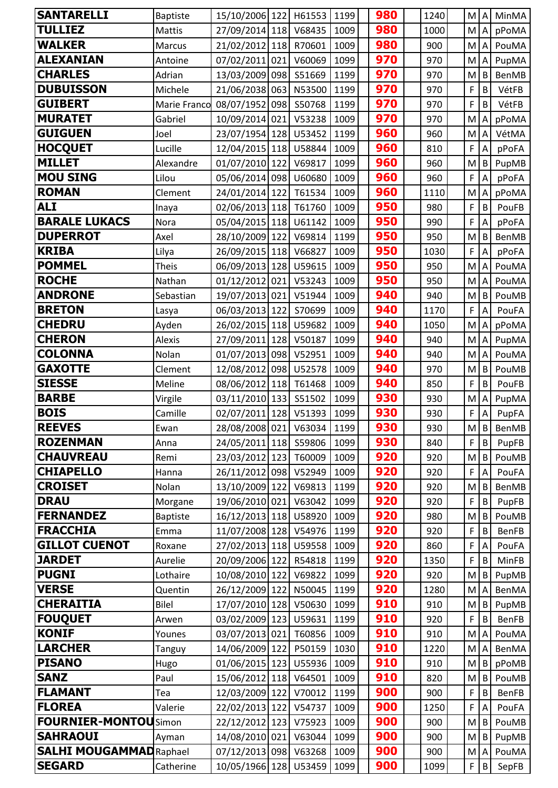| <b>SANTARELLI</b>                       | <b>Baptiste</b>     | 15/10/2006 122 H61553                   |        | 1199         | 980        | 1240        | M A      |                | MinMA                 |
|-----------------------------------------|---------------------|-----------------------------------------|--------|--------------|------------|-------------|----------|----------------|-----------------------|
| <b>TULLIEZ</b>                          | Mattis              | 27/09/2014 118 V68435                   |        | 1009         | 980        | 1000        | M.       | Α              | pPoMA                 |
| <b>WALKER</b>                           | Marcus              | 21/02/2012 118 R70601                   |        | 1009         | 980        | 900         | M        | $\overline{A}$ | PouMA                 |
| <b>ALEXANIAN</b>                        | Antoine             | 07/02/2011 021                          | V60069 | 1099         | 970        | 970         | M        |                | PupMA                 |
| <b>CHARLES</b>                          | Adrian              | 13/03/2009 098                          | S51669 | 1199         | 970        | 970         | M        | B              | BenMB                 |
| <b>DUBUISSON</b>                        | Michele             | 21/06/2038 063 N53500                   |        | 1199         | 970        | 970         | F        | B              | VétFB                 |
| <b>GUIBERT</b>                          | Marie Franco        | 08/07/1952 098                          | S50768 | 1199         | 970        | 970         | F        | $\sf B$        | VétFB                 |
| <b>MURATET</b>                          | Gabriel             | 10/09/2014 021                          | V53238 | 1009         | 970        | 970         | M        | A              | pPoMA                 |
| <b>GUIGUEN</b>                          | Joel                | 23/07/1954 128 U53452                   |        | 1199         | 960        | 960         | M        | A              | VétMA                 |
| <b>HOCQUET</b>                          | Lucille             | 12/04/2015 118 U58844                   |        | 1009         | 960        | 810         | F        | Α              | pPoFA                 |
| <b>MILLET</b>                           | Alexandre           | 01/07/2010 122 V69817                   |        | 1099         | 960        | 960         | M        | B              | PupMB                 |
| <b>MOU SING</b>                         | Lilou               | 05/06/2014 098                          | U60680 | 1009         | 960        | 960         | F        | A              | pPoFA                 |
| <b>ROMAN</b>                            | Clement             | 24/01/2014 122 T61534                   |        | 1009         | 960        | 1110        | M        |                | pPoMA                 |
| <b>ALI</b>                              | Inaya               | 02/06/2013 118 T61760                   |        | 1009         | 950        | 980         | F        | $\sf B$        | PouFB                 |
| <b>BARALE LUKACS</b>                    | Nora                | 05/04/2015 118 U61142                   |        | 1009         | 950        | 990         | F        | A              | pPoFA                 |
| <b>DUPERROT</b>                         | Axel                | 28/10/2009 122                          | V69814 | 1199         | 950        | 950         | M        | $\sf B$        | <b>BenMB</b>          |
| <b>KRIBA</b>                            | Lilya               | 26/09/2015 118 V66827                   |        | 1009         | 950        | 1030        | F        | A              | pPoFA                 |
| <b>POMMEL</b>                           | <b>Theis</b>        | 06/09/2013 128 U59615                   |        | 1009         | 950        | 950         | M        | A              | PouMA                 |
| <b>ROCHE</b>                            | Nathan              | 01/12/2012 021                          | V53243 | 1009         | 950        | 950         | M        | $\overline{A}$ | PouMA                 |
| <b>ANDRONE</b>                          | Sebastian           | 19/07/2013 021                          | V51944 | 1009         | 940        | 940         | M        | B              | PouMB                 |
| <b>BRETON</b>                           | Lasya               | 06/03/2013 122                          | S70699 | 1009         | 940        | 1170        | F        | A              | PouFA                 |
| <b>CHEDRU</b>                           | Ayden               | 26/02/2015 118 U59682                   |        | 1009         | 940        | 1050        | M        | Α              | pPoMA                 |
| <b>CHERON</b>                           | Alexis              | 27/09/2011 128                          | V50187 | 1099         | 940        | 940         | M        | A              | PupMA                 |
| <b>COLONNA</b>                          | Nolan               | 01/07/2013 098                          | V52951 | 1009         | 940        | 940         | M        | A              | PouMA                 |
| <b>GAXOTTE</b>                          | Clement             | 12/08/2012 098                          | U52578 | 1009         | 940        | 970         | M        | B              | PouMB                 |
| <b>SIESSE</b>                           | Meline              | 08/06/2012 118 T61468                   |        | 1009         | 940        | 850         | F        | B              | PouFB                 |
| <b>BARBE</b>                            | Virgile             | 03/11/2010 133                          | S51502 | 1099         | 930        | 930         | M        | $\overline{A}$ | PupMA                 |
| <b>BOIS</b>                             | Camille             | 02/07/2011 128                          | V51393 | 1099         | 930        | 930         | F        | A              | PupFA                 |
| <b>REEVES</b>                           | Ewan                | 28/08/2008 021 V63034                   |        | 1199         | 930        | 930         |          | $M$ $B$        | BenMB                 |
| <b>ROZENMAN</b>                         | Anna                | 24/05/2011 118 559806                   |        | 1099         | 930        | 840         | F        | B              | PupFB                 |
| <b>CHAUVREAU</b>                        | Remi                | 23/03/2012 123                          | T60009 | 1009         | 920        | 920         | M        | B              | PouMB                 |
| <b>CHIAPELLO</b>                        | Hanna               | 26/11/2012 098 V52949                   |        | 1009         | 920        | 920         | F        | A              | PouFA                 |
| <b>CROISET</b>                          | Nolan               | 13/10/2009 122                          | V69813 | 1199         | 920        | 920         | M        | B              | <b>BenMB</b>          |
| <b>DRAU</b>                             | Morgane             | 19/06/2010 021 V63042                   |        | 1099         | 920        | 920         | F        | B              | PupFB                 |
| <b>FERNANDEZ</b>                        | <b>Baptiste</b>     | 16/12/2013 118 U58920                   |        | 1009         | 920        | 980         | M        | $\sf B$        | PouMB                 |
| <b>FRACCHIA</b><br><b>GILLOT CUENOT</b> | Emma                | 11/07/2008 128 V54976                   |        | 1199         | 920<br>920 | 920         | F        | $\sf B$        | <b>BenFB</b>          |
| <b>JARDET</b>                           | Roxane              | 27/02/2013 118                          | U59558 | 1009         | 920        | 860         | F<br>F   | A              | PouFA                 |
| <b>PUGNI</b>                            | Aurelie<br>Lothaire | 20/09/2006 122 R54818<br>10/08/2010 122 | V69822 | 1199<br>1099 | 920        | 1350<br>920 |          | B<br>B         | MinFB                 |
| <b>VERSE</b>                            | Quentin             | 26/12/2009 122 N50045                   |        | 1199         | 920        | 1280        | M<br>M A |                | PupMB<br><b>BenMA</b> |
| <b>CHERAITIA</b>                        | <b>Bilel</b>        | 17/07/2010 128 V50630                   |        | 1099         | 910        | 910         | M        | B              | PupMB                 |
| <b>FOUQUET</b>                          | Arwen               | 03/02/2009 123                          | U59631 | 1199         | 910        | 920         | F        | B              | BenFB                 |
| <b>KONIF</b>                            | Younes              | 03/07/2013 021 T60856                   |        | 1009         | 910        | 910         | M        | A              | PouMA                 |
| <b>LARCHER</b>                          | Tanguy              | 14/06/2009 122                          | P50159 | 1030         | 910        | 1220        | M.       |                | BenMA                 |
| <b>PISANO</b>                           | Hugo                | 01/06/2015 123                          | U55936 | 1009         | 910        | 910         | M        | B              | pPoMB                 |
| <b>SANZ</b>                             | Paul                | 15/06/2012 118                          | V64501 | 1009         | 910        | 820         | M        | B              | PouMB                 |
| <b>FLAMANT</b>                          | Tea                 | 12/03/2009 122 V70012                   |        | 1199         | 900        | 900         | F        | $\sf B$        | BenFB                 |
| <b>FLOREA</b>                           | Valerie             | 22/02/2013 122                          | V54737 | 1009         | 900        | 1250        | F        | A              | PouFA                 |
| <b>FOURNIER-MONTOUSimon</b>             |                     | 22/12/2012 123                          | V75923 | 1009         | 900        | 900         | M        | B              | PouMB                 |
| <b>SAHRAOUI</b>                         | Ayman               | 14/08/2010 021                          | V63044 | 1099         | 900        | 900         | M        | $\mathsf B$    | PupMB                 |
| <b>SALHI MOUGAMMAD</b> Raphael          |                     | 07/12/2013 098 V63268                   |        | 1009         | 900        | 900         | M.       | $\overline{A}$ | PouMA                 |
| <b>SEGARD</b>                           | Catherine           | 10/05/1966 128 U53459                   |        | 1099         | 900        | 1099        | F        | $\sf B$        | SepFB                 |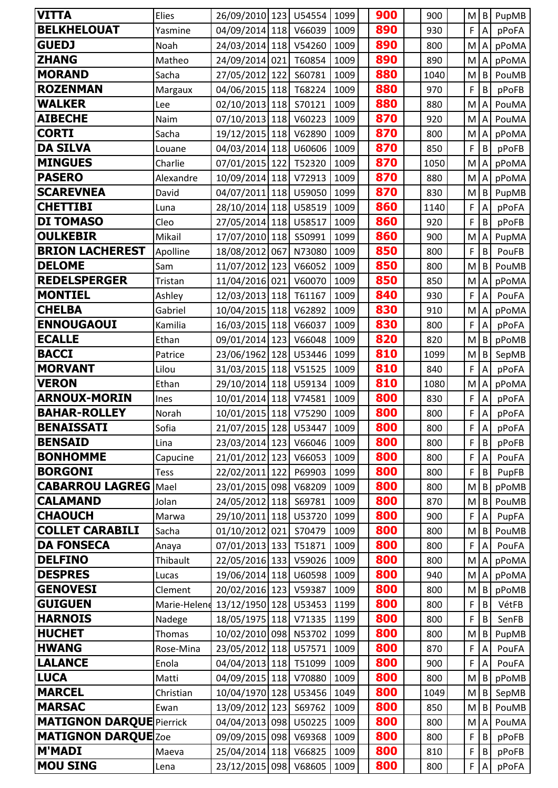| <b>VITTA</b>                    | Elies        | 26/09/2010 123 U54554      |        | 1099 | 900 | 900  | M | $\mathsf{B}$              | PupMB |
|---------------------------------|--------------|----------------------------|--------|------|-----|------|---|---------------------------|-------|
| <b>BELKHELOUAT</b>              | Yasmine      | 04/09/2014 118 V66039      |        | 1009 | 890 | 930  | F | $\overline{A}$            | pPoFA |
| <b>GUEDJ</b>                    | Noah         | 24/03/2014 118 V54260      |        | 1009 | 890 | 800  | M | $\boldsymbol{\mathsf{A}}$ | pPoMA |
| <b>ZHANG</b>                    | Matheo       | 24/09/2014 021             | T60854 | 1009 | 890 | 890  | M | A                         | pPoMA |
| <b>MORAND</b>                   | Sacha        | 27/05/2012 122             | S60781 | 1009 | 880 | 1040 | M | B                         | PouMB |
| <b>ROZENMAN</b>                 | Margaux      | 04/06/2015 118 T68224      |        | 1009 | 880 | 970  | F | B                         | pPoFB |
| <b>WALKER</b>                   | Lee          | 02/10/2013 118 570121      |        | 1009 | 880 | 880  | M | $\boldsymbol{\mathsf{A}}$ | PouMA |
| <b>AIBECHE</b>                  | Naim         | 07/10/2013 118 V60223      |        | 1009 | 870 | 920  | M | $\overline{A}$            | PouMA |
| <b>CORTI</b>                    | Sacha        | 19/12/2015 118 V62890      |        | 1009 | 870 | 800  | M | A                         | pPoMA |
| <b>DA SILVA</b>                 | Louane       | 04/03/2014 118 U60606      |        | 1009 | 870 | 850  | F | B                         | pPoFB |
| <b>MINGUES</b>                  | Charlie      | 07/01/2015 122 T52320      |        | 1009 | 870 | 1050 | M | $\mathsf{A}$              | pPoMA |
| <b>PASERO</b>                   | Alexandre    | 10/09/2014 118 V72913      |        | 1009 | 870 | 880  | M | $\mathsf{A}$              | pPoMA |
| <b>SCAREVNEA</b>                | David        | 04/07/2011 118 U59050      |        | 1099 | 870 | 830  | M | $\mathsf{B}$              | PupMB |
| <b>CHETTIBI</b>                 | Luna         | 28/10/2014 118 U58519      |        | 1009 | 860 | 1140 | F | A                         | pPoFA |
| <b>DI TOMASO</b>                | Cleo         | 27/05/2014 118 U58517      |        | 1009 | 860 | 920  | F | B                         | pPoFB |
| <b>OULKEBIR</b>                 | Mikail       | 17/07/2010 118 550991      |        | 1099 | 860 | 900  | M | A                         | PupMA |
| <b>BRION LACHEREST</b>          | Apolline     | 18/08/2012 067             | N73080 | 1009 | 850 | 800  | F | B                         | PouFB |
| <b>DELOME</b>                   | Sam          | 11/07/2012 123             | V66052 | 1009 | 850 | 800  | M | B                         | PouMB |
| <b>REDELSPERGER</b>             | Tristan      | 11/04/2016 021             | V60070 | 1009 | 850 | 850  | M | ${\sf A}$                 | pPoMA |
| <b>MONTIEL</b>                  | Ashley       | 12/03/2013 118             | T61167 | 1009 | 840 | 930  | F | A                         | PouFA |
| <b>CHELBA</b>                   | Gabriel      | 10/04/2015 118 V62892      |        | 1009 | 830 | 910  | M | $\mathsf A$               | pPoMA |
| <b>ENNOUGAOUI</b>               | Kamilia      | 16/03/2015 118             | V66037 | 1009 | 830 | 800  | F | A                         | pPoFA |
| <b>ECALLE</b>                   | Ethan        | 09/01/2014 123             | V66048 | 1009 | 820 | 820  | M | $\sf B$                   | pPoMB |
| <b>BACCI</b>                    | Patrice      | 23/06/1962 128 U53446      |        | 1099 | 810 | 1099 | M | B                         | SepMB |
| <b>MORVANT</b>                  | Lilou        | 31/03/2015 118 V51525      |        | 1009 | 810 | 840  | F | A                         | pPoFA |
| <b>VERON</b>                    | Ethan        | 29/10/2014 118 U59134      |        | 1009 | 810 | 1080 | M | A                         | pPoMA |
| <b>ARNOUX-MORIN</b>             | Ines         | 10/01/2014 118 V74581      |        | 1009 | 800 | 830  | F | $\boldsymbol{\mathsf{A}}$ | pPoFA |
| <b>BAHAR-ROLLEY</b>             | Norah        | 10/01/2015 118 V75290      |        | 1009 | 800 | 800  | F | A                         | pPoFA |
| <b>BENAISSATI</b>               | Sofia        | 21/07/2015 128 U53447 1009 |        |      | 800 | 800  | F | $\overline{A}$            | pPoFA |
| <b>BENSAID</b>                  | Lina         | 23/03/2014 123             | V66046 | 1009 | 800 | 800  | F | $\sf B$                   | pPoFB |
| <b>BONHOMME</b>                 | Capucine     | 21/01/2012 123 V66053      |        | 1009 | 800 | 800  | F | $\boldsymbol{\mathsf{A}}$ | PouFA |
| <b>BORGONI</b>                  | Tess         | 22/02/2011 122             | P69903 | 1099 | 800 | 800  | F | B                         | PupFB |
| <b>CABARROU LAGREG</b>          | Mael         | 23/01/2015 098             | V68209 | 1009 | 800 | 800  | M | B                         | pPoMB |
| <b>CALAMAND</b>                 | Jolan        | 24/05/2012 118 569781      |        | 1009 | 800 | 870  | M | B                         | PouMB |
| <b>CHAOUCH</b>                  | Marwa        | 29/10/2011 118 U53720      |        | 1099 | 800 | 900  | F | A                         | PupFA |
| <b>COLLET CARABILI</b>          | Sacha        | 01/10/2012 021             | S70479 | 1009 | 800 | 800  | M | $\sf B$                   | PouMB |
| <b>DA FONSECA</b>               | Anaya        | 07/01/2013 133 T51871      |        | 1009 | 800 | 800  | F | A                         | PouFA |
| <b>DELFINO</b>                  | Thibault     | 22/05/2016 133 V59026      |        | 1009 | 800 | 800  | M | A                         | pPoMA |
| <b>DESPRES</b>                  | Lucas        | 19/06/2014 118 U60598      |        | 1009 | 800 | 940  | M | A                         | pPoMA |
| <b>GENOVESI</b>                 | Clement      | 20/02/2016 123 V59387      |        | 1009 | 800 | 800  | M | $\sf B$                   | pPoMB |
| <b>GUIGUEN</b>                  | Marie-Helene | 13/12/1950 128 U53453      |        | 1199 | 800 | 800  | F | B                         | VétFB |
| <b>HARNOIS</b>                  | Nadege       | 18/05/1975 118 V71335      |        | 1199 | 800 | 800  | F | B                         | SenFB |
| <b>HUCHET</b>                   | Thomas       | 10/02/2010 098 N53702      |        | 1099 | 800 | 800  | M | $\sf B$                   | PupMB |
| <b>HWANG</b>                    | Rose-Mina    | 23/05/2012 118 U57571      |        | 1009 | 800 | 870  | F | $\boldsymbol{\mathsf{A}}$ | PouFA |
| <b>LALANCE</b>                  | Enola        | 04/04/2013 118 T51099      |        | 1009 | 800 | 900  | F | A                         | PouFA |
| <b>LUCA</b>                     | Matti        | 04/09/2015 118 V70880      |        | 1009 | 800 | 800  | M | $\sf B$                   | pPoMB |
| <b>MARCEL</b>                   | Christian    | 10/04/1970 128 U53456      |        | 1049 | 800 | 1049 | M | B                         | SepMB |
| <b>MARSAC</b>                   | Ewan         | 13/09/2012 123 569762      |        | 1009 | 800 | 850  | M | $\sf B$                   | PouMB |
| <b>MATIGNON DARQUE Pierrick</b> |              | 04/04/2013 098             | U50225 | 1009 | 800 | 800  | M | Α                         | PouMA |
| <b>MATIGNON DARQUE ZOe</b>      |              | 09/09/2015 098             | V69368 | 1009 | 800 | 800  | F | B                         | pPoFB |
| <b>M'MADI</b>                   | Maeva        | 25/04/2014 118             | V66825 | 1009 | 800 | 810  | F | $\sf B$                   | pPoFB |
| <b>MOU SING</b>                 | Lena         | 23/12/2015 098             | V68605 | 1009 | 800 | 800  | F | $\boldsymbol{\mathsf{A}}$ | pPoFA |
|                                 |              |                            |        |      |     |      |   |                           |       |